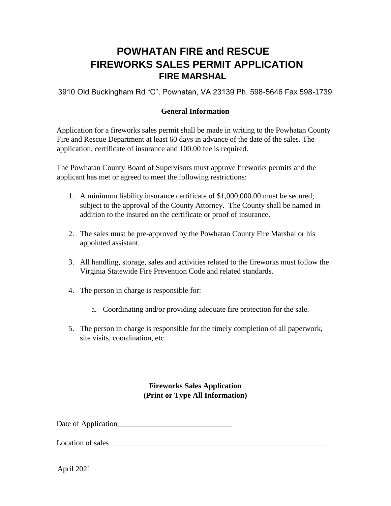## **POWHATAN FIRE and RESCUE FIREWORKS SALES PERMIT APPLICATION FIRE MARSHAL**

3910 Old Buckingham Rd "C", Powhatan, VA 23139 Ph. 598-5646 Fax 598-1739

## **General Information**

Application for a fireworks sales permit shall be made in writing to the Powhatan County Fire and Rescue Department at least 60 days in advance of the date of the sales. The application, certificate of insurance and 100.00 fee is required.

The Powhatan County Board of Supervisors must approve fireworks permits and the applicant has met or agreed to meet the following restrictions:

- 1. A minimum liability insurance certificate of \$1,000,000.00 must be secured; subject to the approval of the County Attorney. The County shall be named in addition to the insured on the certificate or proof of insurance.
- 2. The sales must be pre-approved by the Powhatan County Fire Marshal or his appointed assistant.
- 3. All handling, storage, sales and activities related to the fireworks must follow the Virginia Statewide Fire Prevention Code and related standards.
- 4. The person in charge is responsible for:
	- a. Coordinating and/or providing adequate fire protection for the sale.
- 5. The person in charge is responsible for the timely completion of all paperwork, site visits, coordination, etc.

**Fireworks Sales Application (Print or Type All Information)** 

Date of Application\_\_\_\_\_\_\_\_\_\_\_\_\_\_\_\_\_\_\_\_\_\_\_\_\_\_\_\_\_\_

Location of sales

April 2021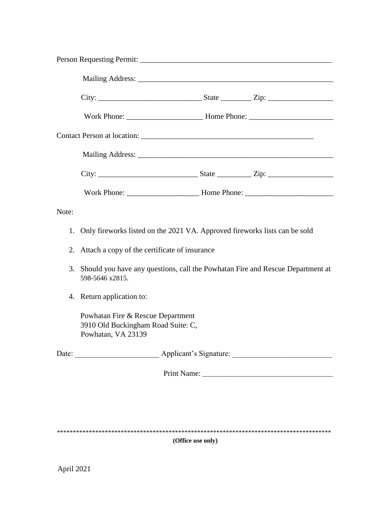| Note: |                                                                                                   |  |                        |  |
|-------|---------------------------------------------------------------------------------------------------|--|------------------------|--|
|       | 1. Only fireworks listed on the 2021 VA. Approved fireworks lists can be sold                     |  |                        |  |
| 2.    | Attach a copy of the certificate of insurance                                                     |  |                        |  |
| 3.    | Should you have any questions, call the Powhatan Fire and Rescue Department at<br>598-5646 x2815. |  |                        |  |
|       | 4. Return application to:                                                                         |  |                        |  |
|       | Powhatan Fire & Rescue Department<br>3910 Old Buckingham Road Suite: C,<br>Powhatan, VA 23139     |  |                        |  |
|       | Date:                                                                                             |  | Applicant's Signature: |  |
|       |                                                                                                   |  |                        |  |
|       |                                                                                                   |  |                        |  |
|       |                                                                                                   |  |                        |  |
|       |                                                                                                   |  |                        |  |

## **(Office use only)**